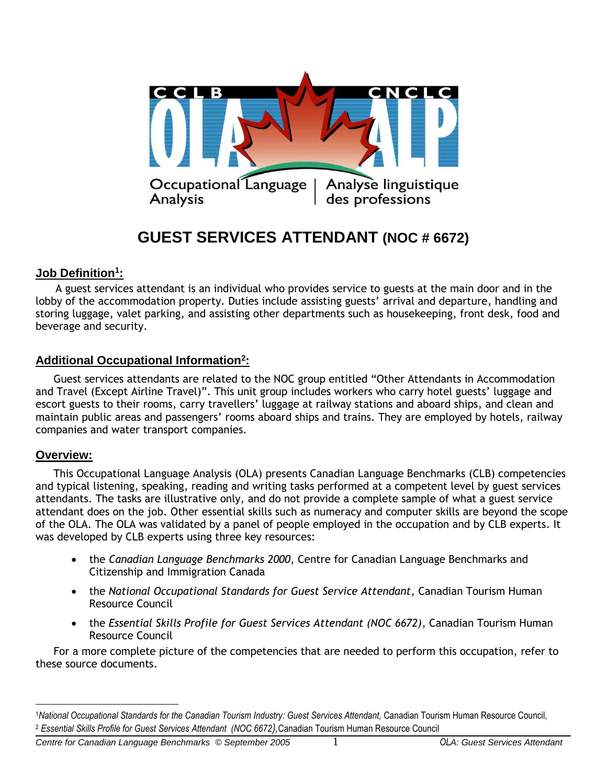

# **GUEST SERVICES ATTENDANT (NOC # 6672)**

# **Job Definition<sup>1</sup> :**

 A guest services attendant is an individual who provides service to guests at the main door and in the lobby of the accommodation property. Duties include assisting guests' arrival and departure, handling and storing luggage, valet parking, and assisting other departments such as housekeeping, front desk, food and beverage and security.

# **Additional Occupational Information<sup>2</sup> :**

Guest services attendants are related to the NOC group entitled "Other Attendants in Accommodation and Travel (Except Airline Travel)". This unit group includes workers who carry hotel guests' luggage and escort guests to their rooms, carry travellers' luggage at railway stations and aboard ships, and clean and maintain public areas and passengers' rooms aboard ships and trains. They are employed by hotels, railway companies and water transport companies.

### **Overview:**

 $\overline{a}$ 

This Occupational Language Analysis (OLA) presents Canadian Language Benchmarks (CLB) competencies and typical listening, speaking, reading and writing tasks performed at a competent level by guest services attendants. The tasks are illustrative only, and do not provide a complete sample of what a guest service attendant does on the job. Other essential skills such as numeracy and computer skills are beyond the scope of the OLA. The OLA was validated by a panel of people employed in the occupation and by CLB experts. It was developed by CLB experts using three key resources:

- the *Canadian Language Benchmarks 2000*, Centre for Canadian Language Benchmarks and Citizenship and Immigration Canada
- the *National Occupational Standards for Guest Service Attendant*, Canadian Tourism Human Resource Council
- the *Essential Skills Profile for Guest Services Attendant (NOC 6672)*, Canadian Tourism Human Resource Council

For a more complete picture of the competencies that are needed to perform this occupation, refer to these source documents.

<sup>1</sup>*National Occupational Standards for the Canadian Tourism Industry: Guest Services Attendant,* Canadian Tourism Human Resource Council*,* <sup>2</sup> *Essential Skills Profile for Guest Services Attendant (NOC 6672),*Canadian Tourism Human Resource Council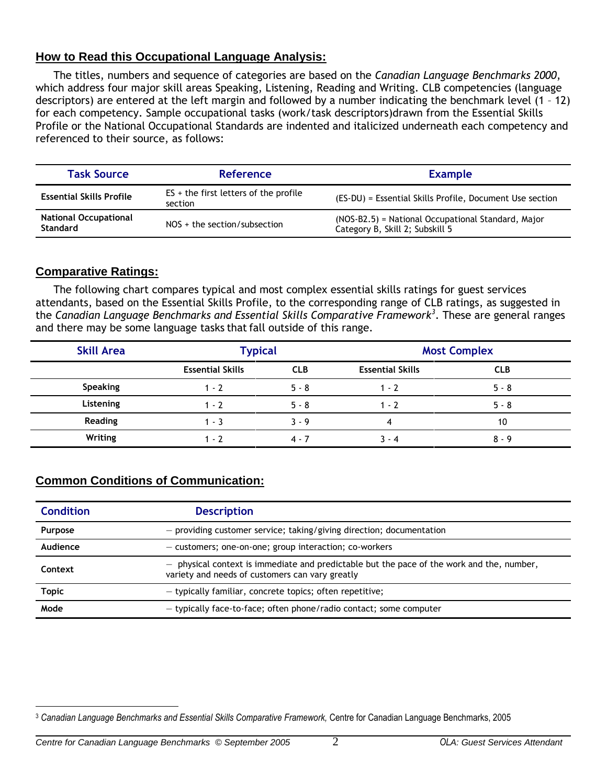# **How to Read this Occupational Language Analysis:**

The titles, numbers and sequence of categories are based on the *Canadian Language Benchmarks 2000*, which address four major skill areas Speaking, Listening, Reading and Writing. CLB competencies (language descriptors) are entered at the left margin and followed by a number indicating the benchmark level (1 – 12) for each competency. Sample occupational tasks (work/task descriptors)drawn from the Essential Skills Profile or the National Occupational Standards are indented and italicized underneath each competency and referenced to their source, as follows:

| <b>Task Source</b>                              | <b>Reference</b>                                   | <b>Example</b>                                                                        |
|-------------------------------------------------|----------------------------------------------------|---------------------------------------------------------------------------------------|
| <b>Essential Skills Profile</b>                 | $ES +$ the first letters of the profile<br>section | (ES-DU) = Essential Skills Profile, Document Use section                              |
| <b>National Occupational</b><br><b>Standard</b> | $NOS + the section/subsection$                     | (NOS-B2.5) = National Occupational Standard, Major<br>Category B, Skill 2; Subskill 5 |

# **Comparative Ratings:**

The following chart compares typical and most complex essential skills ratings for guest services attendants, based on the Essential Skills Profile, to the corresponding range of CLB ratings, as suggested in the *Canadian Language Benchmarks and Essential Skills Comparative Framework<sup>3</sup>* . These are general ranges and there may be some language tasks that fall outside of this range.

| <b>Skill Area</b> | <b>Typical</b>          |            | <b>Most Complex</b>     |            |
|-------------------|-------------------------|------------|-------------------------|------------|
|                   | <b>Essential Skills</b> | <b>CLB</b> | <b>Essential Skills</b> | <b>CLB</b> |
| <b>Speaking</b>   | $1 - 2$                 | $5 - 8$    | $1 - 2$                 | $5 - 8$    |
| Listening         | $1 - 2$                 | $5 - 8$    | $1 - 2$                 | $5 - 8$    |
| <b>Reading</b>    | $1 - 3$                 | $3 - 9$    | 4                       | 10         |
| Writing           | $1 - 7$                 | 4 - 7      | $3 - 4$                 | $8 - 9$    |

# **Common Conditions of Communication:**

| <b>Condition</b> | <b>Description</b>                                                                                                                             |  |
|------------------|------------------------------------------------------------------------------------------------------------------------------------------------|--|
| Purpose          | - providing customer service; taking/giving direction; documentation                                                                           |  |
| Audience         | - customers; one-on-one; group interaction; co-workers                                                                                         |  |
| Context          | $-$ physical context is immediate and predictable but the pace of the work and the, number,<br>variety and needs of customers can vary greatly |  |
| <b>Topic</b>     | - typically familiar, concrete topics; often repetitive;                                                                                       |  |
| Mode             | - typically face-to-face; often phone/radio contact; some computer                                                                             |  |

 $\overline{a}$ <sup>3</sup> *Canadian Language Benchmarks and Essential Skills Comparative Framework,* Centre for Canadian Language Benchmarks, 2005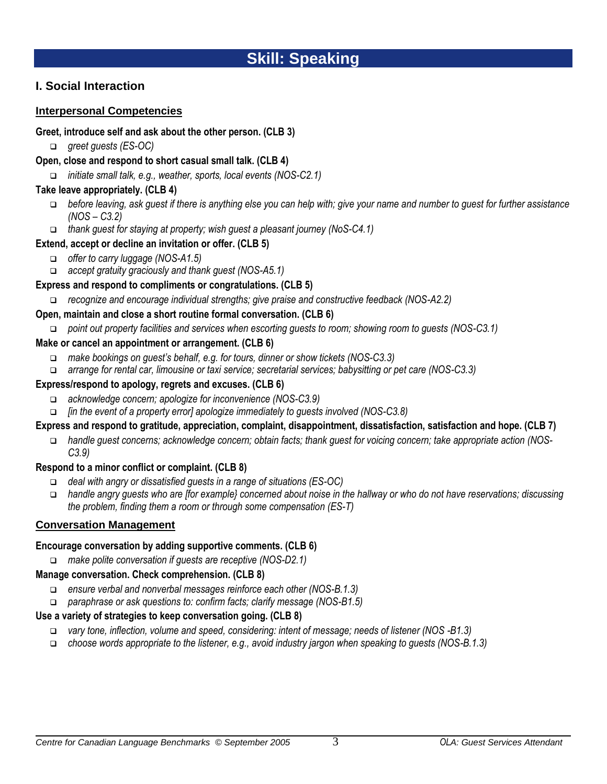# **Skill: Speaking**

# **I. Social Interaction**

### **Interpersonal Competencies**

### **Greet, introduce self and ask about the other person. (CLB 3)**

- *greet guests (ES-OC)*
- **Open, close and respond to short casual small talk. (CLB 4)**
	- *initiate small talk, e.g., weather, sports, local events (NOS-C2.1)*

### **Take leave appropriately. (CLB 4)**

- *before leaving, ask guest if there is anything else you can help with; give your name and number to guest for further assistance (NOS – C3.2)*
- *thank guest for staying at property; wish guest a pleasant journey (NoS-C4.1)*

# **Extend, accept or decline an invitation or offer. (CLB 5)**

- *offer to carry luggage (NOS-A1.5)*
- *accept gratuity graciously and thank guest (NOS-A5.1)*

### **Express and respond to compliments or congratulations. (CLB 5)**

*recognize and encourage individual strengths; give praise and constructive feedback (NOS-A2.2)*

### **Open, maintain and close a short routine formal conversation. (CLB 6)**

*point out property facilities and services when escorting guests to room; showing room to guests (NOS-C3.1)*

### **Make or cancel an appointment or arrangement. (CLB 6)**

- *make bookings on guest's behalf, e.g. for tours, dinner or show tickets (NOS-C3.3)*
- *arrange for rental car, limousine or taxi service; secretarial services; babysitting or pet care (NOS-C3.3)*

### **Express/respond to apology, regrets and excuses. (CLB 6)**

- *acknowledge concern; apologize for inconvenience (NOS-C3.9)*
- *[in the event of a property error] apologize immediately to guests involved (NOS-C3.8)*

# **Express and respond to gratitude, appreciation, complaint, disappointment, dissatisfaction, satisfaction and hope. (CLB 7)**

 *handle guest concerns; acknowledge concern; obtain facts; thank guest for voicing concern; take appropriate action (NOS-C3.9)*

# **Respond to a minor conflict or complaint. (CLB 8)**

- *deal with angry or dissatisfied guests in a range of situations (ES-OC)*
- *handle angry guests who are [for example} concerned about noise in the hallway or who do not have reservations; discussing the problem, finding them a room or through some compensation (ES-T)*

# **Conversation Management**

### **Encourage conversation by adding supportive comments. (CLB 6)**

*make polite conversation if guests are receptive (NOS-D2.1)*

### **Manage conversation. Check comprehension. (CLB 8)**

- *ensure verbal and nonverbal messages reinforce each other (NOS-B.1.3)*
- *paraphrase or ask questions to: confirm facts; clarify message (NOS-B1.5)*

# **Use a variety of strategies to keep conversation going. (CLB 8)**

- *vary tone, inflection, volume and speed, considering: intent of message; needs of listener (NOS -B1.3)*
- *choose words appropriate to the listener, e.g., avoid industry jargon when speaking to guests (NOS-B.1.3)*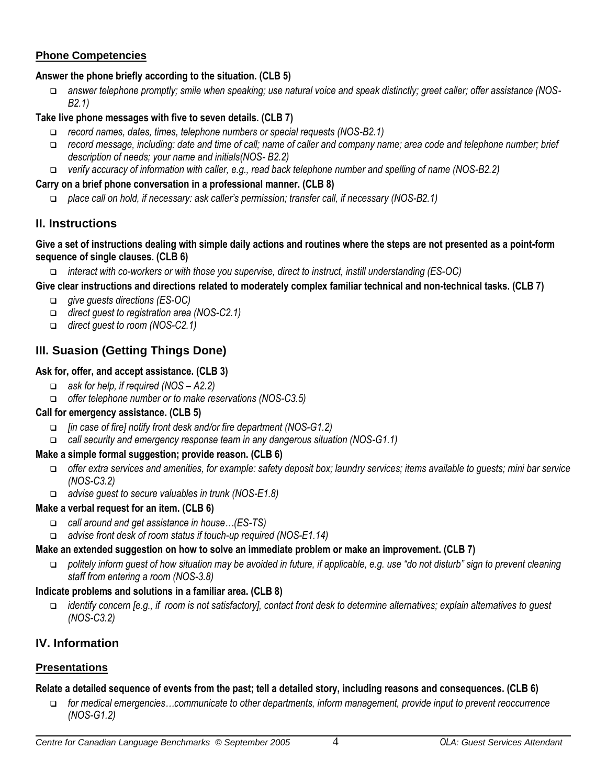# **Phone Competencies**

### **Answer the phone briefly according to the situation. (CLB 5)**

 *answer telephone promptly; smile when speaking; use natural voice and speak distinctly; greet caller; offer assistance (NOS-B2.1)*

### **Take live phone messages with five to seven details. (CLB 7)**

- *record names, dates, times, telephone numbers or special requests (NOS-B2.1)*
- *record message, including: date and time of call; name of caller and company name; area code and telephone number; brief description of needs; your name and initials(NOS- B2.2)*
- *verify accuracy of information with caller, e.g., read back telephone number and spelling of name (NOS-B2.2)*

### **Carry on a brief phone conversation in a professional manner. (CLB 8)**

*place call on hold, if necessary: ask caller's permission; transfer call, if necessary (NOS-B2.1)* 

# **II. Instructions**

### **Give a set of instructions dealing with simple daily actions and routines where the steps are not presented as a point-form sequence of single clauses. (CLB 6)**

*interact with co-workers or with those you supervise, direct to instruct, instill understanding (ES-OC)*

# **Give clear instructions and directions related to moderately complex familiar technical and non-technical tasks. (CLB 7)**

- *give guests directions (ES-OC)*
- *direct guest to registration area (NOS-C2.1)*
- *direct guest to room (NOS-C2.1)*

# **III. Suasion (Getting Things Done)**

### **Ask for, offer, and accept assistance. (CLB 3)**

- *ask for help, if required (NOS – A2.2)*
- *offer telephone number or to make reservations (NOS-C3.5)*

# **Call for emergency assistance. (CLB 5)**

- *[in case of fire] notify front desk and/or fire department (NOS-G1.2)*
- *call security and emergency response team in any dangerous situation (NOS-G1.1)*

# **Make a simple formal suggestion; provide reason. (CLB 6)**

- *offer extra services and amenities, for example: safety deposit box; laundry services; items available to guests; mini bar service (NOS-C3.2)*
- *advise guest to secure valuables in trunk (NOS-E1.8)*

### **Make a verbal request for an item. (CLB 6)**

- *call around and get assistance in house…(ES-TS)*
- *advise front desk of room status if touch-up required (NOS-E1.14)*

### **Make an extended suggestion on how to solve an immediate problem or make an improvement. (CLB 7)**

 *politely inform guest of how situation may be avoided in future, if applicable, e.g. use "do not disturb" sign to prevent cleaning staff from entering a room (NOS-3.8)*

### **Indicate problems and solutions in a familiar area. (CLB 8)**

 *identify concern [e.g., if room is not satisfactory], contact front desk to determine alternatives; explain alternatives to guest (NOS-C3.2)*

# **IV. Information**

# **Presentations**

### **Relate a detailed sequence of events from the past; tell a detailed story, including reasons and consequences. (CLB 6)**

 *for medical emergencies…communicate to other departments, inform management, provide input to prevent reoccurrence (NOS-G1.2)*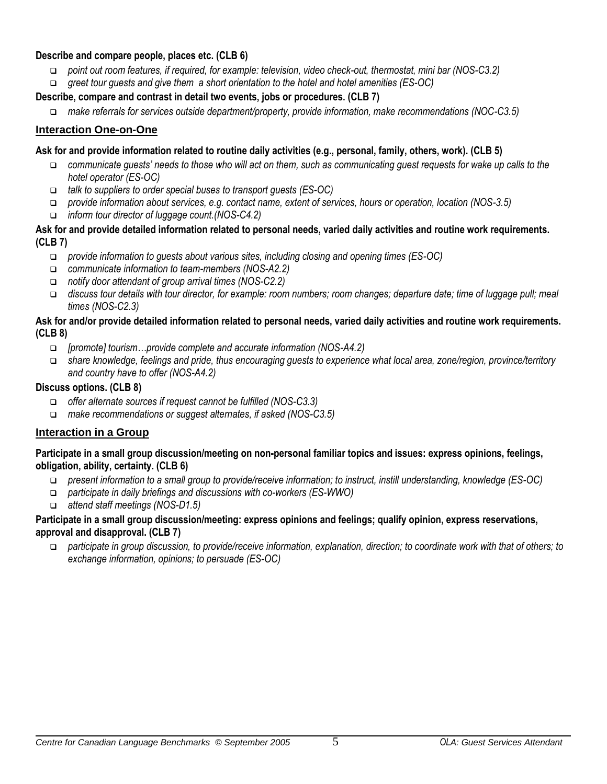### **Describe and compare people, places etc. (CLB 6)**

- *point out room features, if required, for example: television, video check-out, thermostat, mini bar (NOS-C3.2)*
- *greet tour guests and give them a short orientation to the hotel and hotel amenities (ES-OC)*

### **Describe, compare and contrast in detail two events, jobs or procedures. (CLB 7)**

*make referrals for services outside department/property, provide information, make recommendations (NOC-C3.5)*

### **Interaction One-on-One**

### **Ask for and provide information related to routine daily activities (e.g., personal, family, others, work). (CLB 5)**

- *communicate guests' needs to those who will act on them, such as communicating guest requests for wake up calls to the hotel operator (ES-OC)*
- *talk to suppliers to order special buses to transport guests (ES-OC)*
- *provide information about services, e.g. contact name, extent of services, hours or operation, location (NOS-3.5)*
- *inform tour director of luggage count.(NOS-C4.2)*

#### **Ask for and provide detailed information related to personal needs, varied daily activities and routine work requirements. (CLB 7)**

- *provide information to guests about various sites, including closing and opening times (ES-OC)*
- *communicate information to team-members (NOS-A2.2)*
- *notify door attendant of group arrival times (NOS-C2.2)*
- *discuss tour details with tour director, for example: room numbers; room changes; departure date; time of luggage pull; meal times (NOS-C2.3)*

### **Ask for and/or provide detailed information related to personal needs, varied daily activities and routine work requirements. (CLB 8)**

- *[promote] tourism…provide complete and accurate information (NOS-A4.2)*
- *share knowledge, feelings and pride, thus encouraging guests to experience what local area, zone/region, province/territory and country have to offer (NOS-A4.2)*

### **Discuss options. (CLB 8)**

- *offer alternate sources if request cannot be fulfilled (NOS-C3.3)*
- *make recommendations or suggest alternates, if asked (NOS-C3.5)*

# **Interaction in a Group**

### **Participate in a small group discussion/meeting on non-personal familiar topics and issues: express opinions, feelings, obligation, ability, certainty. (CLB 6)**

- *present information to a small group to provide/receive information; to instruct, instill understanding, knowledge (ES-OC)*
- *participate in daily briefings and discussions with co-workers (ES-WWO)*
- *attend staff meetings (NOS-D1.5)*

### **Participate in a small group discussion/meeting: express opinions and feelings; qualify opinion, express reservations, approval and disapproval. (CLB 7)**

 *participate in group discussion, to provide/receive information, explanation, direction; to coordinate work with that of others; to exchange information, opinions; to persuade (ES-OC)*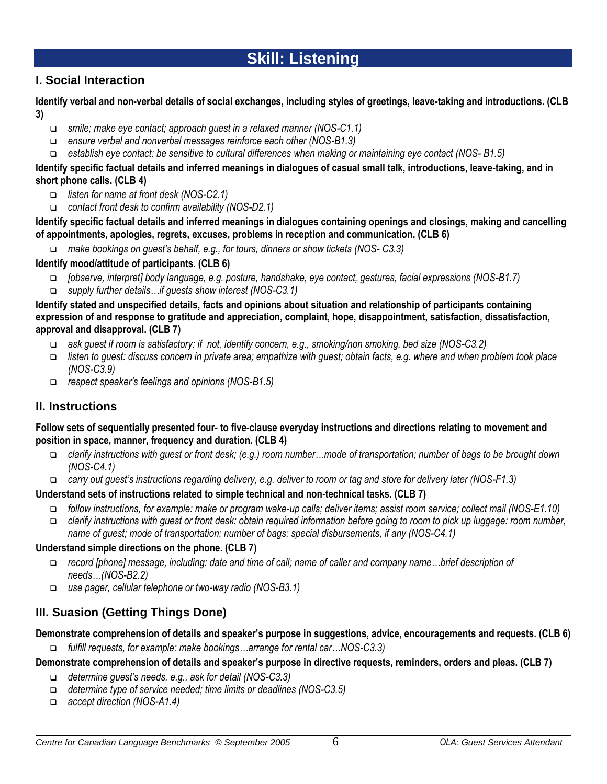# **Skill: Listening**

# **I. Social Interaction**

**Identify verbal and non-verbal details of social exchanges, including styles of greetings, leave-taking and introductions. (CLB 3)**

- *smile; make eye contact; approach guest in a relaxed manner (NOS-C1.1)*
- *ensure verbal and nonverbal messages reinforce each other (NOS-B1.3)*
- *establish eye contact: be sensitive to cultural differences when making or maintaining eye contact (NOS- B1.5)*

**Identify specific factual details and inferred meanings in dialogues of casual small talk, introductions, leave-taking, and in short phone calls. (CLB 4)**

- *listen for name at front desk (NOS-C2.1)*
- *contact front desk to confirm availability (NOS-D2.1)*

**Identify specific factual details and inferred meanings in dialogues containing openings and closings, making and cancelling of appointments, apologies, regrets, excuses, problems in reception and communication. (CLB 6)**

*make bookings on guest's behalf, e.g., for tours, dinners or show tickets (NOS- C3.3)* 

### **Identify mood/attitude of participants. (CLB 6)**

- *[observe, interpret] body language, e.g. posture, handshake, eye contact, gestures, facial expressions (NOS-B1.7)*
- *supply further details…if guests show interest (NOS-C3.1)*

**Identify stated and unspecified details, facts and opinions about situation and relationship of participants containing expression of and response to gratitude and appreciation, complaint, hope, disappointment, satisfaction, dissatisfaction, approval and disapproval. (CLB 7)**

- *ask guest if room is satisfactory: if not, identify concern, e.g., smoking/non smoking, bed size (NOS-C3.2)*
- *listen to guest: discuss concern in private area; empathize with guest; obtain facts, e.g. where and when problem took place (NOS-C3.9)*
- *respect speaker's feelings and opinions (NOS-B1.5)*

# **II. Instructions**

### **Follow sets of sequentially presented four- to five-clause everyday instructions and directions relating to movement and position in space, manner, frequency and duration. (CLB 4)**

- *clarify instructions with guest or front desk; (e.g.) room number…mode of transportation; number of bags to be brought down (NOS-C4.1)*
- *carry out guest's instructions regarding delivery, e.g. deliver to room or tag and store for delivery later (NOS-F1.3)*

# **Understand sets of instructions related to simple technical and non-technical tasks. (CLB 7)**

- *follow instructions, for example: make or program wake-up calls; deliver items; assist room service; collect mail (NOS-E1.10)*
- *clarify instructions with guest or front desk: obtain required information before going to room to pick up luggage: room number, name of guest; mode of transportation; number of bags; special disbursements, if any (NOS-C4.1)*

### **Understand simple directions on the phone. (CLB 7)**

- *record [phone] message, including: date and time of call; name of caller and company name…brief description of needs…(NOS-B2.2)*
- *use pager, cellular telephone or two-way radio (NOS-B3.1)*

# **III. Suasion (Getting Things Done)**

### **Demonstrate comprehension of details and speaker's purpose in suggestions, advice, encouragements and requests. (CLB 6)**

*fulfill requests, for example: make bookings…arrange for rental car…NOS-C3.3)*

**Demonstrate comprehension of details and speaker's purpose in directive requests, reminders, orders and pleas. (CLB 7)**

- *determine guest's needs, e.g., ask for detail (NOS-C3.3)*
- *determine type of service needed; time limits or deadlines (NOS-C3.5)*
- *accept direction (NOS-A1.4)*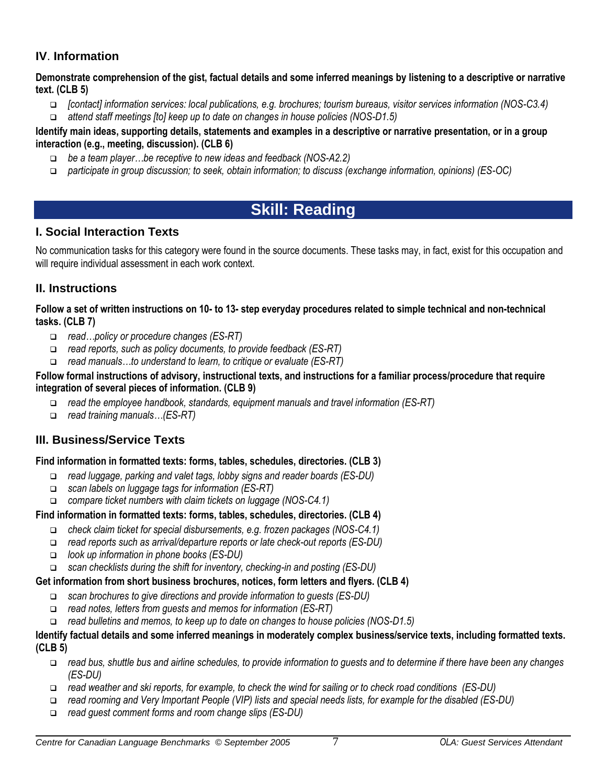# **IV**. **Information**

**Demonstrate comprehension of the gist, factual details and some inferred meanings by listening to a descriptive or narrative text. (CLB 5)**

- *[contact] information services: local publications, e.g. brochures; tourism bureaus, visitor services information (NOS-C3.4)*
- *attend staff meetings [to] keep up to date on changes in house policies (NOS-D1.5)*

### **Identify main ideas, supporting details, statements and examples in a descriptive or narrative presentation, or in a group interaction (e.g., meeting, discussion). (CLB 6)**

- *be a team player…be receptive to new ideas and feedback (NOS-A2.2)*
- *participate in group discussion; to seek, obtain information; to discuss (exchange information, opinions) (ES-OC)*

# **Skill: Reading**

# **I. Social Interaction Texts**

No communication tasks for this category were found in the source documents. These tasks may, in fact, exist for this occupation and will require individual assessment in each work context.

# **II. Instructions**

**Follow a set of written instructions on 10- to 13- step everyday procedures related to simple technical and non-technical tasks. (CLB 7)**

- *read…policy or procedure changes (ES-RT)*
- *read reports, such as policy documents, to provide feedback (ES-RT)*
- *read manuals…to understand to learn, to critique or evaluate (ES-RT)*

### **Follow formal instructions of advisory, instructional texts, and instructions for a familiar process/procedure that require integration of several pieces of information. (CLB 9)**

- *read the employee handbook, standards, equipment manuals and travel information (ES-RT)*
- *read training manuals…(ES-RT)*

# **III. Business/Service Texts**

# **Find information in formatted texts: forms, tables, schedules, directories. (CLB 3)**

- *read luggage, parking and valet tags, lobby signs and reader boards (ES-DU)*
- *scan labels on luggage tags for information (ES-RT)*
- *compare ticket numbers with claim tickets on luggage (NOS-C4.1)*

# **Find information in formatted texts: forms, tables, schedules, directories. (CLB 4)**

- *check claim ticket for special disbursements, e.g. frozen packages (NOS-C4.1)*
- *read reports such as arrival/departure reports or late check-out reports (ES-DU)*
- *look up information in phone books (ES-DU)*
- *scan checklists during the shift for inventory, checking-in and posting (ES-DU)*

### **Get information from short business brochures, notices, form letters and flyers. (CLB 4)**

- *scan brochures to give directions and provide information to guests (ES-DU)*
- *read notes, letters from guests and memos for information (ES-RT)*
- *read bulletins and memos, to keep up to date on changes to house policies (NOS-D1.5)*

#### **Identify factual details and some inferred meanings in moderately complex business/service texts, including formatted texts. (CLB 5)**

- *read bus, shuttle bus and airline schedules, to provide information to guests and to determine if there have been any changes (ES-DU)*
- *read weather and ski reports, for example, to check the wind for sailing or to check road conditions (ES-DU)*
- *read rooming and Very Important People (VIP) lists and special needs lists, for example for the disabled (ES-DU)*
- *read guest comment forms and room change slips (ES-DU)*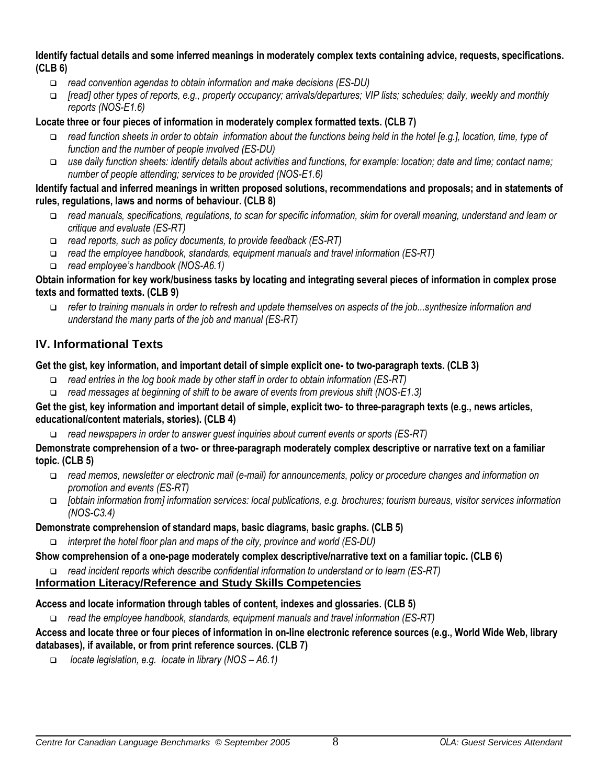#### **Identify factual details and some inferred meanings in moderately complex texts containing advice, requests, specifications. (CLB 6)**

- *read convention agendas to obtain information and make decisions (ES-DU)*
- *[read] other types of reports, e.g., property occupancy; arrivals/departures; VIP lists; schedules; daily, weekly and monthly reports (NOS-E1.6)*

### **Locate three or four pieces of information in moderately complex formatted texts. (CLB 7)**

- *read function sheets in order to obtain information about the functions being held in the hotel [e.g.], location, time, type of function and the number of people involved (ES-DU)*
- *use daily function sheets: identify details about activities and functions, for example: location; date and time; contact name; number of people attending; services to be provided (NOS-E1.6)*

### **Identify factual and inferred meanings in written proposed solutions, recommendations and proposals; and in statements of rules, regulations, laws and norms of behaviour. (CLB 8)**

- *read manuals, specifications, regulations, to scan for specific information, skim for overall meaning, understand and learn or critique and evaluate (ES-RT)*
- *read reports, such as policy documents, to provide feedback (ES-RT)*
- *read the employee handbook, standards, equipment manuals and travel information (ES-RT)*
- *read employee's handbook (NOS-A6.1)*

### **Obtain information for key work/business tasks by locating and integrating several pieces of information in complex prose texts and formatted texts. (CLB 9)**

 *refer to training manuals in order to refresh and update themselves on aspects of the job...synthesize information and understand the many parts of the job and manual (ES-RT)* 

# **IV. Informational Texts**

# **Get the gist, key information, and important detail of simple explicit one- to two-paragraph texts. (CLB 3)**

- *read entries in the log book made by other staff in order to obtain information (ES-RT)*
- *read messages at beginning of shift to be aware of events from previous shift (NOS-E1.3)*

### **Get the gist, key information and important detail of simple, explicit two- to three-paragraph texts (e.g., news articles, educational/content materials, stories). (CLB 4)**

*read newspapers in order to answer guest inquiries about current events or sports (ES-RT)*

### **Demonstrate comprehension of a two- or three-paragraph moderately complex descriptive or narrative text on a familiar topic. (CLB 5)**

- *read memos, newsletter or electronic mail (e-mail) for announcements, policy or procedure changes and information on promotion and events (ES-RT)*
- *[obtain information from] information services: local publications, e.g. brochures; tourism bureaus, visitor services information (NOS-C3.4)*

# **Demonstrate comprehension of standard maps, basic diagrams, basic graphs. (CLB 5)**

*interpret the hotel floor plan and maps of the city, province and world (ES-DU)*

# **Show comprehension of a one-page moderately complex descriptive/narrative text on a familiar topic. (CLB 6)**

*read incident reports which describe confidential information to understand or to learn (ES-RT)*

# **Information Literacy/Reference and Study Skills Competencies**

# **Access and locate information through tables of content, indexes and glossaries. (CLB 5)**

*read the employee handbook, standards, equipment manuals and travel information (ES-RT)*

### **Access and locate three or four pieces of information in on-line electronic reference sources (e.g., World Wide Web, library databases), if available, or from print reference sources. (CLB 7)**

*locate legislation, e.g. locate in library (NOS – A6.1)*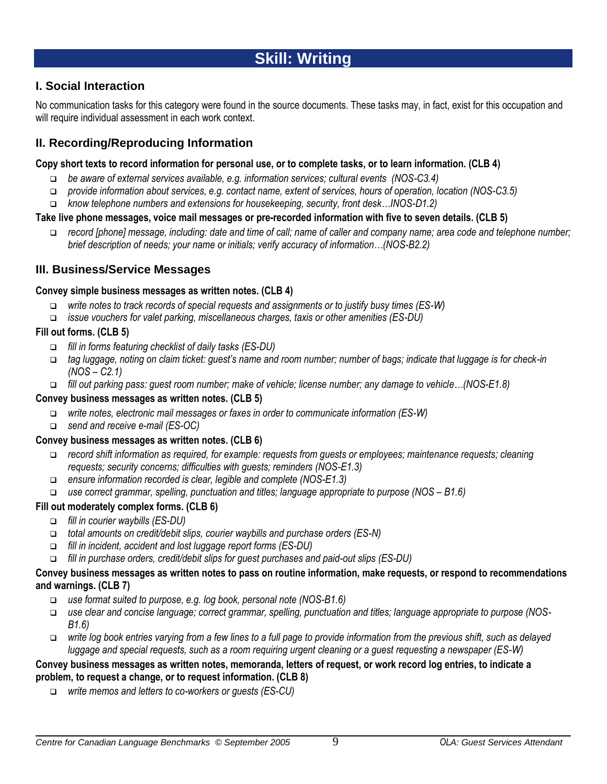# **Skill: Writing**

# **I. Social Interaction**

No communication tasks for this category were found in the source documents. These tasks may, in fact, exist for this occupation and will require individual assessment in each work context.

# **II. Recording/Reproducing Information**

#### **Copy short texts to record information for personal use, or to complete tasks, or to learn information. (CLB 4)**

- *be aware of external services available, e.g. information services; cultural events (NOS-C3.4)*
- *provide information about services, e.g. contact name, extent of services, hours of operation, location (NOS-C3.5)*
- *know telephone numbers and extensions for housekeeping, security, front desk…INOS-D1.2)*

### **Take live phone messages, voice mail messages or pre-recorded information with five to seven details. (CLB 5)**

 *record [phone] message, including: date and time of call; name of caller and company name; area code and telephone number; brief description of needs; your name or initials; verify accuracy of information…(NOS-B2.2)*

### **III. Business/Service Messages**

#### **Convey simple business messages as written notes. (CLB 4)**

- *write notes to track records of special requests and assignments or to justify busy times (ES-W)*
- *issue vouchers for valet parking, miscellaneous charges, taxis or other amenities (ES-DU)*

### **Fill out forms. (CLB 5)**

- *fill in forms featuring checklist of daily tasks (ES-DU)*
- *tag luggage, noting on claim ticket: guest's name and room number; number of bags; indicate that luggage is for check-in (NOS – C2.1)*
- *fill out parking pass: guest room number; make of vehicle; license number; any damage to vehicle…(NOS-E1.8)*

### **Convey business messages as written notes. (CLB 5)**

- *write notes, electronic mail messages or faxes in order to communicate information (ES-W)*
- *send and receive e-mail (ES-OC)*

### **Convey business messages as written notes. (CLB 6)**

- *record shift information as required, for example: requests from guests or employees; maintenance requests; cleaning requests; security concerns; difficulties with guests; reminders (NOS-E1.3)*
- *ensure information recorded is clear, legible and complete (NOS-E1.3)*
- *use correct grammar, spelling, punctuation and titles; language appropriate to purpose (NOS – B1.6)*

### **Fill out moderately complex forms. (CLB 6)**

- *fill in courier waybills (ES-DU)*
- *total amounts on credit/debit slips, courier waybills and purchase orders (ES-N)*
- *fill in incident, accident and lost luggage report forms (ES-DU)*
- *fill in purchase orders, credit/debit slips for guest purchases and paid-out slips (ES-DU)*

#### **Convey business messages as written notes to pass on routine information, make requests, or respond to recommendations and warnings. (CLB 7)**

- *use format suited to purpose, e.g. log book, personal note (NOS-B1.6)*
- *use clear and concise language; correct grammar, spelling, punctuation and titles; language appropriate to purpose (NOS-B1.6)*
- *write log book entries varying from a few lines to a full page to provide information from the previous shift, such as delayed luggage and special requests, such as a room requiring urgent cleaning or a guest requesting a newspaper (ES-W)*

### **Convey business messages as written notes, memoranda, letters of request, or work record log entries, to indicate a problem, to request a change, or to request information. (CLB 8)**

*write memos and letters to co-workers or guests (ES-CU)*